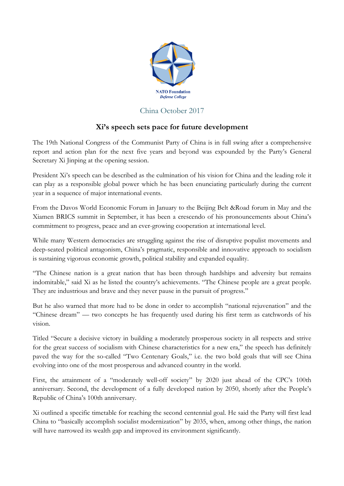

## China October 2017

## **Xi's speech sets pace for future development**

The 19th National Congress of the Communist Party of China is in full swing after a comprehensive report and action plan for the next five years and beyond was expounded by the Party's General Secretary Xi Jinping at the opening session.

President Xi's speech can be described as the culmination of his vision for China and the leading role it can play as a responsible global power which he has been enunciating particularly during the current year in a sequence of major international events.

From the Davos World Economic Forum in January to the Beijing Belt &Road forum in May and the Xiamen BRICS summit in September, it has been a crescendo of his pronouncements about China's commitment to progress, peace and an ever-growing cooperation at international level.

While many Western democracies are struggling against the rise of disruptive populist movements and deep-seated political antagonism, China's pragmatic, responsible and innovative approach to socialism is sustaining vigorous economic growth, political stability and expanded equality.

"The Chinese nation is a great nation that has been through hardships and adversity but remains indomitable," said Xi as he listed the country's achievements. "The Chinese people are a great people. They are industrious and brave and they never pause in the pursuit of progress."

But he also warned that more had to be done in order to accomplish "national rejuvenation" and the "Chinese dream" — two concepts he has frequently used during his first term as catchwords of his vision.

Titled "Secure a decisive victory in building a moderately prosperous society in all respects and strive for the great success of socialism with Chinese characteristics for a new era," the speech has definitely paved the way for the so-called "Two Centenary Goals," i.e. the two bold goals that will see China evolving into one of the most prosperous and advanced country in the world.

First, the attainment of a "moderately well-off society" by 2020 just ahead of the CPC's 100th anniversary. Second, the development of a fully developed nation by 2050, shortly after the People's Republic of China's 100th anniversary.

Xi outlined a specific timetable for reaching the second centennial goal. He said the Party will first lead China to "basically accomplish socialist modernization" by 2035, when, among other things, the nation will have narrowed its wealth gap and improved its environment significantly.